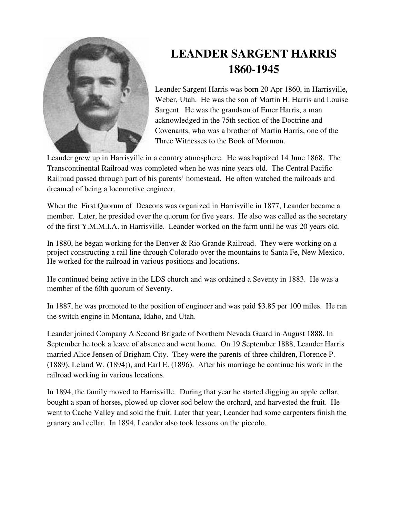

## **LEANDER SARGENT HARRIS 1860-1945**

Leander Sargent Harris was born 20 Apr 1860, in Harrisville, Weber, Utah. He was the son of Martin H. Harris and Louise Sargent. He was the grandson of Emer Harris, a man acknowledged in the 75th section of the Doctrine and Covenants, who was a brother of Martin Harris, one of the Three Witnesses to the Book of Mormon.

Leander grew up in Harrisville in a country atmosphere. He was baptized 14 June 1868. The Transcontinental Railroad was completed when he was nine years old. The Central Pacific Railroad passed through part of his parents' homestead. He often watched the railroads and dreamed of being a locomotive engineer.

When the First Quorum of Deacons was organized in Harrisville in 1877, Leander became a member. Later, he presided over the quorum for five years. He also was called as the secretary of the first Y.M.M.I.A. in Harrisville. Leander worked on the farm until he was 20 years old.

In 1880, he began working for the Denver & Rio Grande Railroad. They were working on a project constructing a rail line through Colorado over the mountains to Santa Fe, New Mexico. He worked for the railroad in various positions and locations.

He continued being active in the LDS church and was ordained a Seventy in 1883. He was a member of the 60th quorum of Seventy.

In 1887, he was promoted to the position of engineer and was paid \$3.85 per 100 miles. He ran the switch engine in Montana, Idaho, and Utah.

Leander joined Company A Second Brigade of Northern Nevada Guard in August 1888. In September he took a leave of absence and went home. On 19 September 1888, Leander Harris married Alice Jensen of Brigham City. They were the parents of three children, Florence P. (1889), Leland W. (1894)), and Earl E. (1896). After his marriage he continue his work in the railroad working in various locations.

In 1894, the family moved to Harrisville. During that year he started digging an apple cellar, bought a span of horses, plowed up clover sod below the orchard, and harvested the fruit. He went to Cache Valley and sold the fruit. Later that year, Leander had some carpenters finish the granary and cellar. In 1894, Leander also took lessons on the piccolo.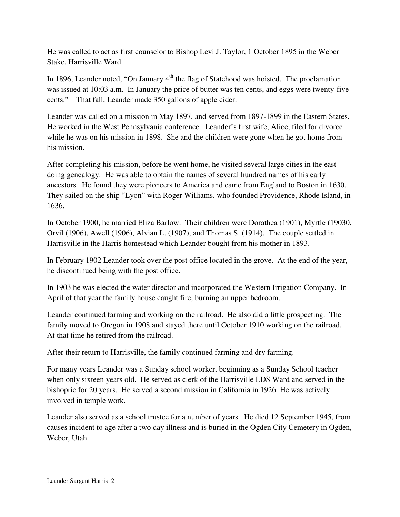He was called to act as first counselor to Bishop Levi J. Taylor, 1 October 1895 in the Weber Stake, Harrisville Ward.

In 1896, Leander noted, "On January  $4<sup>th</sup>$  the flag of Statehood was hoisted. The proclamation was issued at 10:03 a.m. In January the price of butter was ten cents, and eggs were twenty-five cents." That fall, Leander made 350 gallons of apple cider.

Leander was called on a mission in May 1897, and served from 1897-1899 in the Eastern States. He worked in the West Pennsylvania conference. Leander's first wife, Alice, filed for divorce while he was on his mission in 1898. She and the children were gone when he got home from his mission.

After completing his mission, before he went home, he visited several large cities in the east doing genealogy. He was able to obtain the names of several hundred names of his early ancestors. He found they were pioneers to America and came from England to Boston in 1630. They sailed on the ship "Lyon" with Roger Williams, who founded Providence, Rhode Island, in 1636.

In October 1900, he married Eliza Barlow. Their children were Dorathea (1901), Myrtle (19030, Orvil (1906), Awell (1906), Alvian L. (1907), and Thomas S. (1914). The couple settled in Harrisville in the Harris homestead which Leander bought from his mother in 1893.

In February 1902 Leander took over the post office located in the grove. At the end of the year, he discontinued being with the post office.

In 1903 he was elected the water director and incorporated the Western Irrigation Company. In April of that year the family house caught fire, burning an upper bedroom.

Leander continued farming and working on the railroad. He also did a little prospecting. The family moved to Oregon in 1908 and stayed there until October 1910 working on the railroad. At that time he retired from the railroad.

After their return to Harrisville, the family continued farming and dry farming.

For many years Leander was a Sunday school worker, beginning as a Sunday School teacher when only sixteen years old. He served as clerk of the Harrisville LDS Ward and served in the bishopric for 20 years. He served a second mission in California in 1926. He was actively involved in temple work.

Leander also served as a school trustee for a number of years. He died 12 September 1945, from causes incident to age after a two day illness and is buried in the Ogden City Cemetery in Ogden, Weber, Utah.